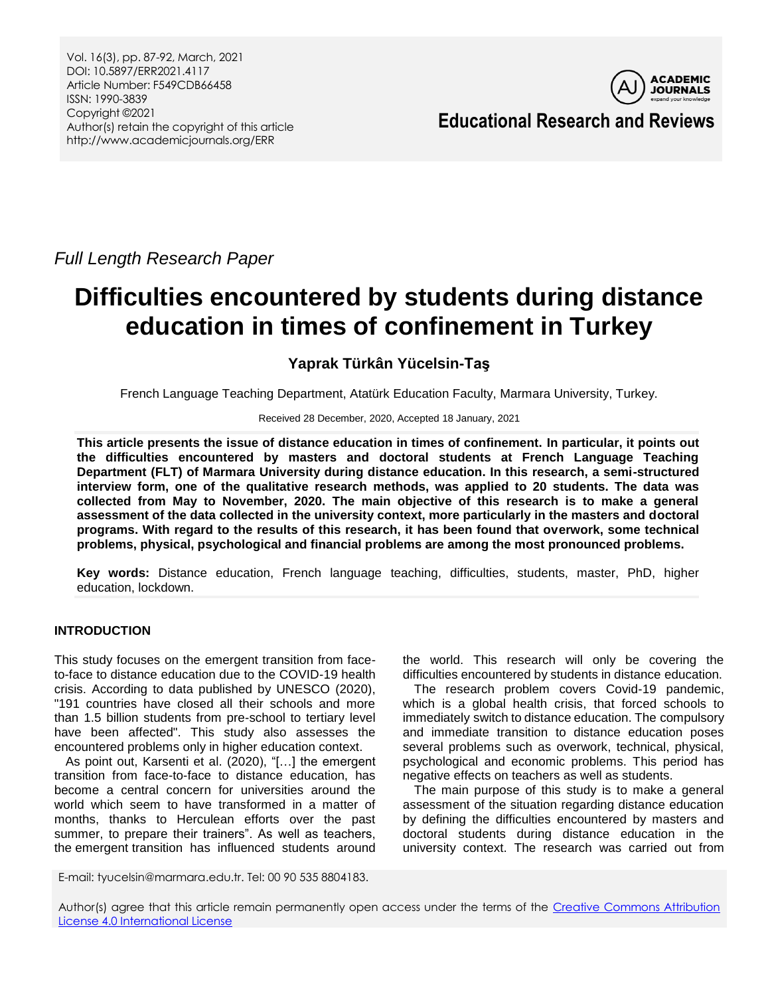Vol. 16(3), pp. 87-92, March, 2021 DOI: 10.5897/ERR2021.4117 Article Number: F549CDB66458 ISSN: 1990-3839 Copyright ©2021 Author(s) retain the copyright of this article http://www.academicjournals.org/ERR



**Educational Research and Reviews**

*Full Length Research Paper*

# **Difficulties encountered by students during distance education in times of confinement in Turkey**

## **Yaprak Türkân Yücelsin-Taş**

French Language Teaching Department, Atatürk Education Faculty, Marmara University, Turkey.

Received 28 December, 2020, Accepted 18 January, 2021

**This article presents the issue of distance education in times of confinement. In particular, it points out the difficulties encountered by masters and doctoral students at French Language Teaching Department (FLT) of Marmara University during distance education. In this research, a semi-structured interview form, one of the qualitative research methods, was applied to 20 students. The data was collected from May to November, 2020. The main objective of this research is to make a general assessment of the data collected in the university context, more particularly in the masters and doctoral programs. With regard to the results of this research, it has been found that overwork, some technical problems, physical, psychological and financial problems are among the most pronounced problems.**

**Key words:** Distance education, French language teaching, difficulties, students, master, PhD, higher education, lockdown.

## **INTRODUCTION**

This study focuses on the emergent transition from faceto-face to distance education due to the COVID-19 health crisis. According to data published by UNESCO (2020), "191 countries have closed all their schools and more than 1.5 billion students from pre-school to tertiary level have been affected". This study also assesses the encountered problems only in higher education context.

As point out, Karsenti et al. (2020), "[…] the emergent transition from face-to-face to distance education, has become a central concern for universities around the world which seem to have transformed in a matter of months, thanks to Herculean efforts over the past summer, to prepare their trainers". As well as teachers, the emergent transition has influenced students around

the world. This research will only be covering the difficulties encountered by students in distance education.

The research problem covers Covid-19 pandemic, which is a global health crisis, that forced schools to immediately switch to distance education. The compulsory and immediate transition to distance education poses several problems such as overwork, technical, physical, psychological and economic problems. This period has negative effects on teachers as well as students.

The main purpose of this study is to make a general assessment of the situation regarding distance education by defining the difficulties encountered by masters and doctoral students during distance education in the university context. The research was carried out from

E-mail: tyucelsin@marmara.edu.tr. Tel: 00 90 535 8804183.

Author(s) agree that this article remain permanently open access under the terms of the Creative Commons Attribution [License 4.0 International License](http://creativecommons.org/licenses/by/4.0/deed.en_US)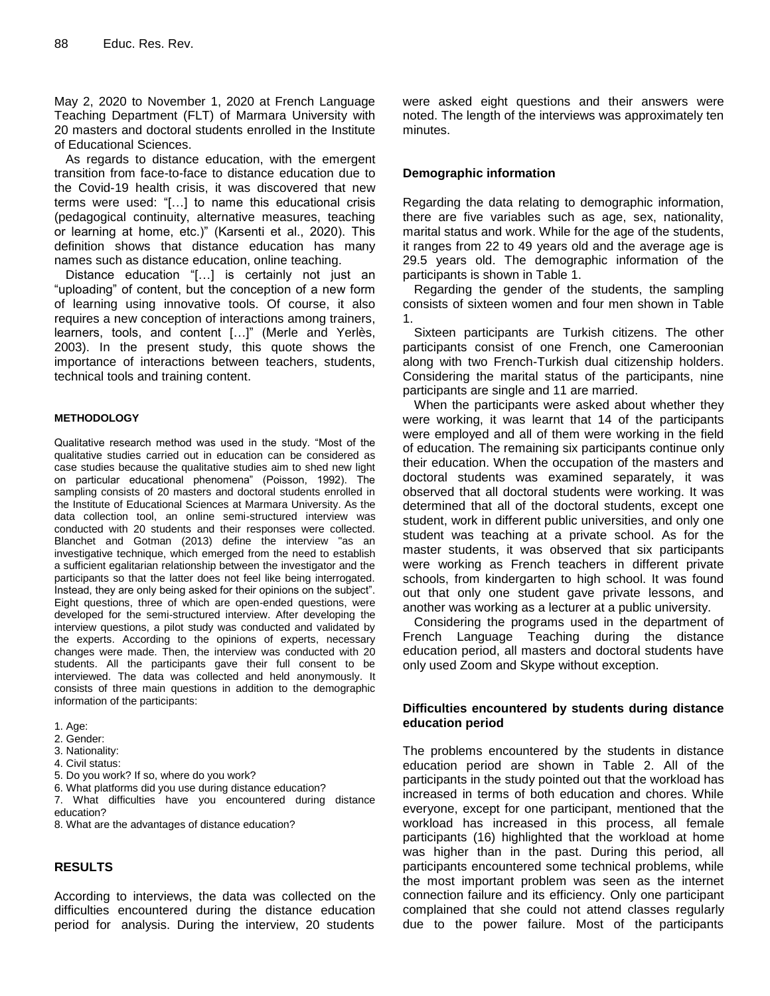May 2, 2020 to November 1, 2020 at French Language Teaching Department (FLT) of Marmara University with 20 masters and doctoral students enrolled in the Institute of Educational Sciences.

As regards to distance education, with the emergent transition from face-to-face to distance education due to the Covid-19 health crisis, it was discovered that new terms were used: "[…] to name this educational crisis (pedagogical continuity, alternative measures, teaching or learning at home, etc.)" (Karsenti et al., 2020). This definition shows that distance education has many names such as distance education, online teaching.

Distance education "[…] is certainly not just an "uploading" of content, but the conception of a new form of learning using innovative tools. Of course, it also requires a new conception of interactions among trainers, learners, tools, and content […]" (Merle and Yerlès, 2003). In the present study, this quote shows the importance of interactions between teachers, students, technical tools and training content.

#### **METHODOLOGY**

Qualitative research method was used in the study. "Most of the qualitative studies carried out in education can be considered as case studies because the qualitative studies aim to shed new light on particular educational phenomena" (Poisson, 1992). The sampling consists of 20 masters and doctoral students enrolled in the Institute of Educational Sciences at Marmara University. As the data collection tool, an online semi-structured interview was conducted with 20 students and their responses were collected. Blanchet and Gotman (2013) define the interview "as an investigative technique, which emerged from the need to establish a sufficient egalitarian relationship between the investigator and the participants so that the latter does not feel like being interrogated. Instead, they are only being asked for their opinions on the subject". Eight questions, three of which are open-ended questions, were developed for the semi-structured interview. After developing the interview questions, a pilot study was conducted and validated by the experts. According to the opinions of experts, necessary changes were made. Then, the interview was conducted with 20 students. All the participants gave their full consent to be interviewed. The data was collected and held anonymously. It consists of three main questions in addition to the demographic information of the participants:

- 1. Age:
- 2. Gender:
- 3. Nationality:
- 4. Civil status:
- 5. Do you work? If so, where do you work?

6. What platforms did you use during distance education?

7. What difficulties have you encountered during distance education?

8. What are the advantages of distance education?

#### **RESULTS**

According to interviews, the data was collected on the difficulties encountered during the distance education period for analysis. During the interview, 20 students were asked eight questions and their answers were noted. The length of the interviews was approximately ten minutes.

#### **Demographic information**

Regarding the data relating to demographic information, there are five variables such as age, sex, nationality, marital status and work. While for the age of the students, it ranges from 22 to 49 years old and the average age is 29.5 years old. The demographic information of the participants is shown in Table 1.

Regarding the gender of the students, the sampling consists of sixteen women and four men shown in Table 1.

Sixteen participants are Turkish citizens. The other participants consist of one French, one Cameroonian along with two French-Turkish dual citizenship holders. Considering the marital status of the participants, nine participants are single and 11 are married.

When the participants were asked about whether they were working, it was learnt that 14 of the participants were employed and all of them were working in the field of education. The remaining six participants continue only their education. When the occupation of the masters and doctoral students was examined separately, it was observed that all doctoral students were working. It was determined that all of the doctoral students, except one student, work in different public universities, and only one student was teaching at a private school. As for the master students, it was observed that six participants were working as French teachers in different private schools, from kindergarten to high school. It was found out that only one student gave private lessons, and another was working as a lecturer at a public university.

Considering the programs used in the department of French Language Teaching during the distance education period, all masters and doctoral students have only used Zoom and Skype without exception.

#### **Difficulties encountered by students during distance education period**

The problems encountered by the students in distance education period are shown in Table 2. All of the participants in the study pointed out that the workload has increased in terms of both education and chores. While everyone, except for one participant, mentioned that the workload has increased in this process, all female participants (16) highlighted that the workload at home was higher than in the past. During this period, all participants encountered some technical problems, while the most important problem was seen as the internet connection failure and its efficiency. Only one participant complained that she could not attend classes regularly due to the power failure. Most of the participants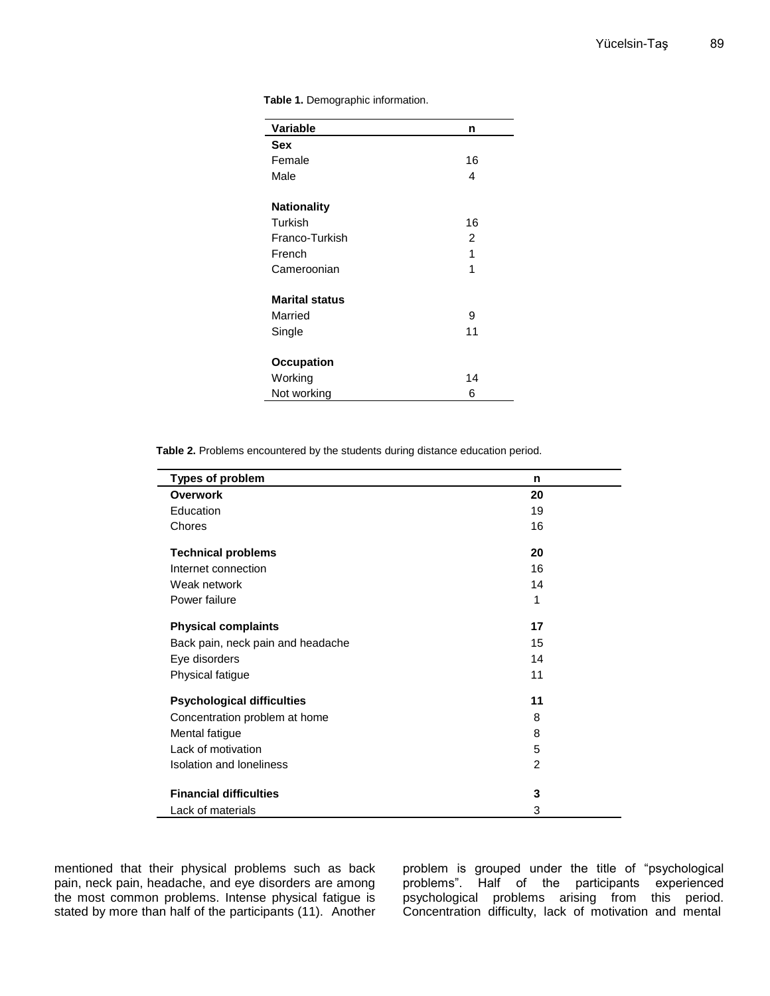| <b>Variable</b>       | n              |
|-----------------------|----------------|
| <b>Sex</b>            |                |
| Female                | 16             |
| Male                  | 4              |
| <b>Nationality</b>    |                |
| Turkish               | 16             |
| Franco-Turkish        | $\overline{2}$ |
| French                | 1              |
| Cameroonian           | 1              |
| <b>Marital status</b> |                |
| Married               | 9              |
| Single                | 11             |
| <b>Occupation</b>     |                |
| Working               | 14             |
| Not working           | 6              |

**Table 1.** Demographic information.

**Table 2.** Problems encountered by the students during distance education period.

| <b>Types of problem</b>           | n              |
|-----------------------------------|----------------|
| <b>Overwork</b>                   | 20             |
| Education                         | 19             |
| Chores                            | 16             |
| <b>Technical problems</b>         | 20             |
| Internet connection               | 16             |
| Weak network                      | 14             |
| Power failure                     | 1              |
| <b>Physical complaints</b>        | 17             |
| Back pain, neck pain and headache | 15             |
| Eye disorders                     | 14             |
| Physical fatigue                  | 11             |
| <b>Psychological difficulties</b> | 11             |
| Concentration problem at home     | 8              |
| Mental fatigue                    | 8              |
| Lack of motivation                | 5              |
| Isolation and loneliness          | $\overline{2}$ |
| <b>Financial difficulties</b>     | 3              |
| Lack of materials                 | 3              |

mentioned that their physical problems such as back pain, neck pain, headache, and eye disorders are among the most common problems. Intense physical fatigue is stated by more than half of the participants (11). Another problem is grouped under the title of "psychological problems". Half of the participants experienced psychological problems arising from this period. Concentration difficulty, lack of motivation and mental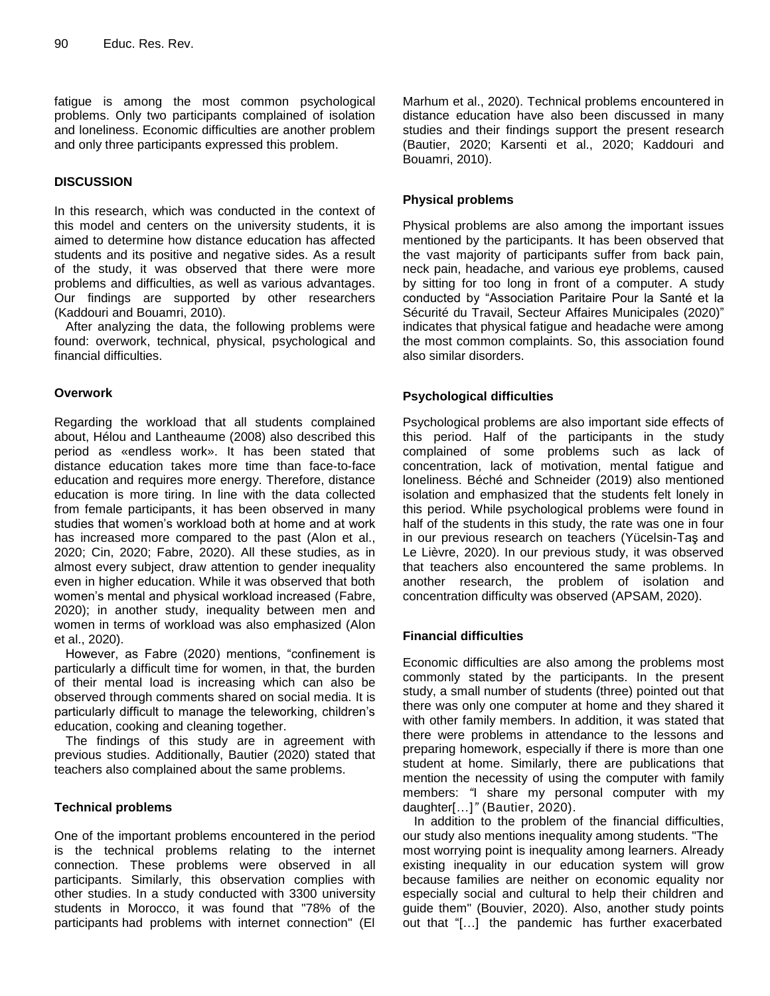fatigue is among the most common psychological problems. Only two participants complained of isolation and loneliness. Economic difficulties are another problem and only three participants expressed this problem.

## **DISCUSSION**

In this research, which was conducted in the context of this model and centers on the university students, it is aimed to determine how distance education has affected students and its positive and negative sides. As a result of the study, it was observed that there were more problems and difficulties, as well as various advantages. Our findings are supported by other researchers (Kaddouri and Bouamri, 2010).

After analyzing the data, the following problems were found: overwork, technical, physical, psychological and financial difficulties.

### **Overwork**

Regarding the workload that all students complained about, Hélou and Lantheaume (2008) also described this period as «endless work». It has been stated that distance education takes more time than face-to-face education and requires more energy. Therefore, distance education is more tiring. In line with the data collected from female participants, it has been observed in many studies that women's workload both at home and at work has increased more compared to the past (Alon et al., 2020; Cin, 2020; Fabre, 2020). All these studies, as in almost every subject, draw attention to gender inequality even in higher education. While it was observed that both women's mental and physical workload increased (Fabre, 2020); in another study, inequality between men and women in terms of workload was also emphasized (Alon et al., 2020).

However, as Fabre (2020) mentions, "confinement is particularly a difficult time for women, in that, the burden of their mental load is increasing which can also be observed through comments shared on social media. It is particularly difficult to manage the teleworking, children's education, cooking and cleaning together.

The findings of this study are in agreement with previous studies. Additionally, Bautier (2020) stated that teachers also complained about the same problems.

## **Technical problems**

One of the important problems encountered in the period is the technical problems relating to the internet connection. These problems were observed in all participants. Similarly, this observation complies with other studies. In a study conducted with 3300 university students in Morocco, it was found that "78% of the participants had problems with internet connection" (El Marhum et al., 2020). Technical problems encountered in distance education have also been discussed in many studies and their findings support the present research (Bautier, 2020; Karsenti et al., 2020; Kaddouri and Bouamri, 2010).

## **Physical problems**

Physical problems are also among the important issues mentioned by the participants. It has been observed that the vast majority of participants suffer from back pain, neck pain, headache, and various eye problems, caused by sitting for too long in front of a computer. A study conducted by "Association Paritaire Pour la Santé et la Sécurité du Travail, Secteur Affaires Municipales (2020)" indicates that physical fatigue and headache were among the most common complaints. So, this association found also similar disorders.

## **Psychological difficulties**

Psychological problems are also important side effects of this period. Half of the participants in the study complained of some problems such as lack of concentration, lack of motivation, mental fatigue and loneliness. Béché and Schneider (2019) also mentioned isolation and emphasized that the students felt lonely in this period. While psychological problems were found in half of the students in this study, the rate was one in four in our previous research on teachers (Yücelsin-Taş and Le Lièvre, 2020). In our previous study, it was observed that teachers also encountered the same problems. In another research, the problem of isolation and concentration difficulty was observed (APSAM, 2020).

### **Financial difficulties**

Economic difficulties are also among the problems most commonly stated by the participants. In the present study, a small number of students (three) pointed out that there was only one computer at home and they shared it with other family members. In addition, it was stated that there were problems in attendance to the lessons and preparing homework, especially if there is more than one student at home. Similarly, there are publications that mention the necessity of using the computer with family members: *"*I share my personal computer with my daughter[…]*"* (Bautier, 2020).

In addition to the problem of the financial difficulties, our study also mentions inequality among students. "The most worrying point is inequality among learners. Already existing inequality in our education system will grow because families are neither on economic equality nor especially social and cultural to help their children and guide them" (Bouvier, 2020). Also, another study points out that "[…] the pandemic has further exacerbated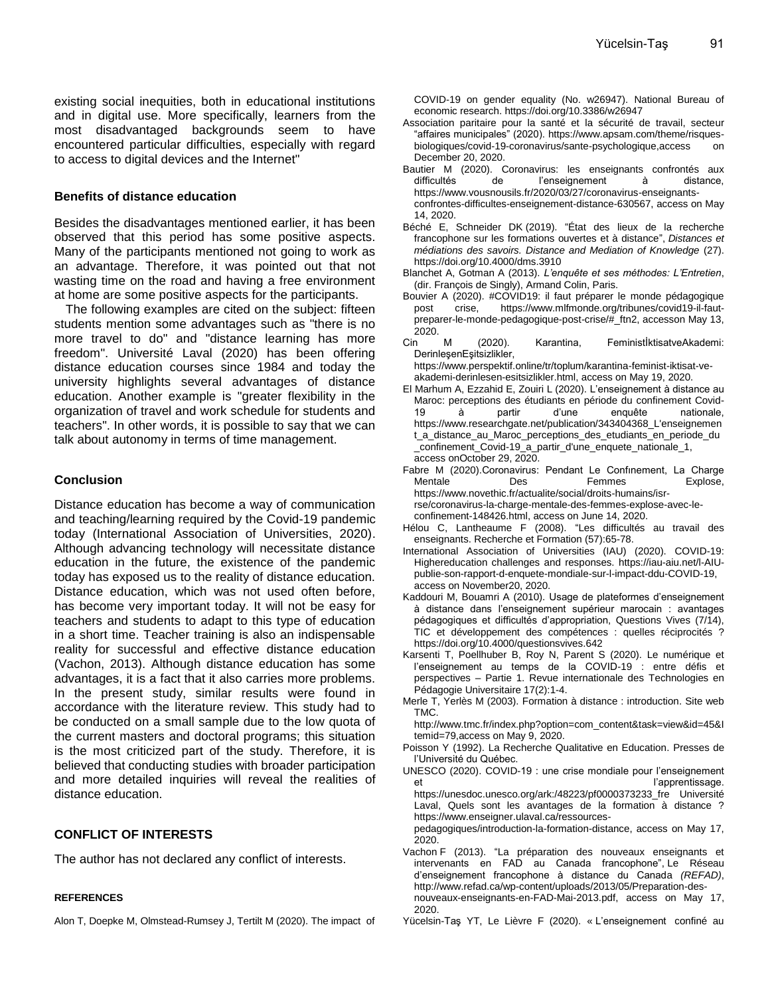existing social inequities, both in educational institutions and in digital use. More specifically, learners from the most disadvantaged backgrounds seem to have encountered particular difficulties, especially with regard to access to digital devices and the Internet"

#### **Benefits of distance education**

Besides the disadvantages mentioned earlier, it has been observed that this period has some positive aspects. Many of the participants mentioned not going to work as an advantage. Therefore, it was pointed out that not wasting time on the road and having a free environment at home are some positive aspects for the participants.

The following examples are cited on the subject: fifteen students mention some advantages such as "there is no more travel to do" and "distance learning has more freedom". Université Laval (2020) has been offering distance education courses since 1984 and today the university highlights several advantages of distance education. Another example is "greater flexibility in the organization of travel and work schedule for students and teachers". In other words, it is possible to say that we can talk about autonomy in terms of time management.

#### **Conclusion**

Distance education has become a way of communication and teaching/learning required by the Covid-19 pandemic today (International Association of Universities, 2020). Although advancing technology will necessitate distance education in the future, the existence of the pandemic today has exposed us to the reality of distance education. Distance education, which was not used often before, has become very important today. It will not be easy for teachers and students to adapt to this type of education in a short time. Teacher training is also an indispensable reality for successful and effective distance education (Vachon, 2013). Although distance education has some advantages, it is a fact that it also carries more problems. In the present study, similar results were found in accordance with the literature review. This study had to be conducted on a small sample due to the low quota of the current masters and doctoral programs; this situation is the most criticized part of the study. Therefore, it is believed that conducting studies with broader participation and more detailed inquiries will reveal the realities of distance education.

## **CONFLICT OF INTERESTS**

The author has not declared any conflict of interests.

#### **REFERENCES**

Alon T, Doepke M, Olmstead-Rumsey J, Tertilt M (2020). The impact of

COVID-19 on gender equality (No. w26947). National Bureau of economic research. <https://doi.org/10.3386/w26947>

- Association paritaire pour la santé et la sécurité de travail, secteur "affaires municipales" (2020). https://www.apsam.com/theme/risquesbiologiques/covid-19-coronavirus/sante-psychologique,access on December 20, 2020.
- Bautier M (2020). Coronavirus: les enseignants confrontés aux de l'enseignement à distance, https://www.vousnousils.fr/2020/03/27/coronavirus-enseignants-

confrontes-difficultes-enseignement-distance-630567, access on May 14, 2020.

- Béché E, Schneider DK (2019). "État des lieux de la recherche francophone sur les formations ouvertes et à distance", *Distances et médiations des savoirs. Distance and Mediation of Knowledge* (27). <https://doi.org/10.4000/dms.3910>
- Blanchet A, Gotman A (2013). *L'enquête et ses méthodes: L'Entretien*, (dir. François de Singly), Armand Colin, Paris.
- Bouvier A (2020). #COVID19: il faut préparer le monde pédagogique post crise, [https://www.mlfmonde.org/tribunes/covid19-il-faut](https://www.mlfmonde.org/tribunes/covid19-il-faut-preparer-le-monde-pedagogique-post-crise/#_ftn2)[preparer-le-monde-pedagogique-post-crise/#\\_ftn2,](https://www.mlfmonde.org/tribunes/covid19-il-faut-preparer-le-monde-pedagogique-post-crise/#_ftn2) accesson May 13, 2020.
- Cin M (2020). Karantina, FeministİktisatveAkademi: DerinleşenEşitsizlikler,

[https://www.perspektif.online/tr/toplum/karantina-feminist-iktisat-ve](https://www.perspektif.online/tr/toplum/karantina-feminist-iktisat-ve-akademi-derinlesen-esitsizlikler.html)[akademi-derinlesen-esitsizlikler.html,](https://www.perspektif.online/tr/toplum/karantina-feminist-iktisat-ve-akademi-derinlesen-esitsizlikler.html) access on May 19, 2020.

- El Marhum A, Ezzahid E, Zouiri L (2020). L'enseignement à distance au Maroc: perceptions des étudiants en période du confinement Covid-19 à partir d'une enquête nationale, https://www.researchgate.net/publication/343404368\_L'enseignemen t\_a\_distance\_au\_Maroc\_perceptions\_des\_etudiants\_en\_periode\_du \_confinement\_Covid-19\_a\_partir\_d'une\_enquete\_nationale\_1, access onOctober 29, 2020.
- Fabre M (2020).Coronavirus: Pendant Le Confınement, La Charge Mentale Des Femmes Explose, https://www.novethic.fr/actualite/social/droits-humains/isrrse/coronavirus-la-charge-mentale-des-femmes-explose-avec-leconfinement-148426.html, access on June 14, 2020.
- Hélou C, Lantheaume F (2008). "Les difficultés au travail des enseignants. Recherche et Formation (57):65-78.
- International Association of Universities (IAU) (2020). COVID-19: Highereducation challenges and responses. [https://iau-aiu.net/l-AIU](https://iau-aiu.net/l-AIU-publie-son-rapport-d-enquete-mondiale-sur-l-impact-ddu-COVID-19)[publie-son-rapport-d-enquete-mondiale-sur-l-impact-ddu-COVID-19,](https://iau-aiu.net/l-AIU-publie-son-rapport-d-enquete-mondiale-sur-l-impact-ddu-COVID-19) access on November20, 2020.
- Kaddouri M, Bouamri A (2010). Usage de plateformes d'enseignement à distance dans l'enseignement supérieur marocain : avantages pédagogiques et difficultés d'appropriation, Questions Vives (7/14), TIC et développement des compétences : quelles réciprocités ? https://doi.org/10.4000/questionsvives.642
- Karsenti T, Poellhuber B, Roy N, Parent S (2020). Le numérique et l'enseignement au temps de la COVID-19 : entre défis et perspectives – Partie 1. Revue internationale des Technologies en Pédagogie Universitaire 17(2):1-4.
- Merle T, Yerlès M (2003). Formation à distance : introduction. Site web TMC.

http://www.tmc.fr/index.php?option=com\_content&task=view&id=45&I temid=79,access on May 9, 2020.

- Poisson Y (1992). La Recherche Qualitative en Education. Presses de l'Université du Québec.
- UNESCO (2020). COVID-19 : une crise mondiale pour l'enseignement et l'apprentissage. https://unesdoc.unesco.org/ark:/48223/pf0000373233\_fre Université

Laval, Quels sont les avantages de la formation à distance ? https://www.enseigner.ulaval.ca/ressources-

pedagogiques/introduction-la-formation-distance, access on May 17, 2020.

- Vachon F (2013). "La préparation des nouveaux enseignants et intervenants en FAD au Canada francophone", Le Réseau d'enseignement francophone à distance du Canada *(REFAD)*, http://www.refad.ca/wp-content/uploads/2013/05/Preparation-desnouveaux-enseignants-en-FAD-Mai-2013.pdf, access on May 17, 2020.
- Yücelsin-Taş YT, Le Lièvre F (2020). « L'enseignement confiné au